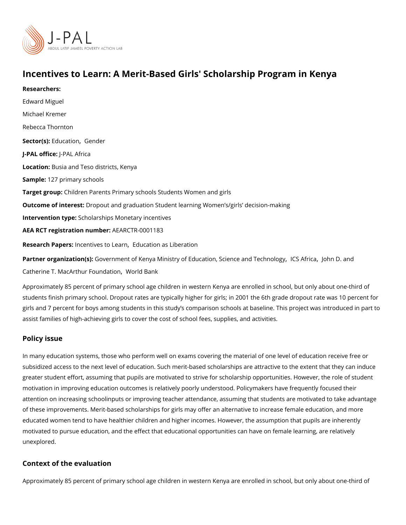## Incentives to Learn: A Merit-Based Girls' Scholarship Progr

Researchers: [Edward M](https://www.povertyactionlab.org/person/miguel)iguel [Michael Kr](https://www.povertyactionlab.org/person/kremer)emer [Rebecca Th](https://www.povertyactionlab.org/person/thornton)ornton Sector(EsolucatioGnender J-PAL oftlicPeAL Africa LocatioBusia and Teso districts, Kenya Sample: 27 primary schools Target gro@hildren Parents Primary schools Students Women and girls Outcome of inteDespout and graduation Student learning Women s/girls decision-making Intervention t&pholarships Monetary incentives AEA RCT registration ArEuAnRbCeTR-0001183 Research Paprecentives to[,](https://www.mitpressjournals.org/doi/pdf/10.1162/rest.91.3.437) [Education as Li](https://doi.org/10.1111/ecca.12168)beration Partner organizatGoon/(esr)nment of Kenya Ministry of Education[,](https://www.povertyactionlab.org/partners/ics-africa) ŞtCeSn & dfaloonabhnTeD channology

[Catherine T. MacArthur](https://www.povertyactionlab.org/partners/john-d-and-catherine-t-macarthur-foundation)[,](https://www.povertyactionlab.org/partners/john-d-and-catherine-t-macarthur-foundation) FNboumdaBbiannk

Approximately 85 percent of primary school age children in western Kenya are enrolled in students finish primary school. Dropout rates are typically higher for girls; in 2001 the 6t girls and 7 percent for boys among students in this study s comparison schools at baselin assist families of high-achieving girls to cover the cost of school fees, supplies, and acti

### Policy issue

In many education systems, those who perform well on exams covering the material of one subsidized access to the next level of education. Such merit-based scholarships are attra greater student effort, assuming that pupils are motivated to strive for scholarship opport motivation in improving education outcomes is relatively poorly understood. Policymakers attention on increasing schoolinputs or improving teacher attendance, assuming that stud of these improvements. Merit-based scholarships for girls may offer an alternative to incr educated women tend to have healthier children and higher incomes. However, the assump motivated to pursue education, and the effect that educational opportunities can have on unexplored.

#### Context of the evaluation

Approximately 85 percent of primary school age children in western Kenya are enrolled in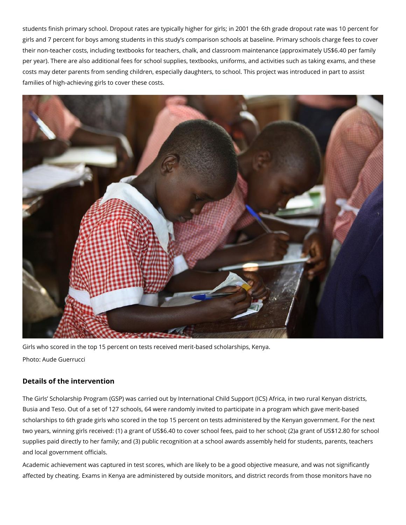students finish primary school. Dropout rates are typically higher for girls; in 2001 the 6th grade dropout rate was 10 percent for girls and 7 percent for boys among students in this study's comparison schools at baseline. Primary schools charge fees to cover their non-teacher costs, including textbooks for teachers, chalk, and classroom maintenance (approximately US\$6.40 per family per year). There are also additional fees for school supplies, textbooks, uniforms, and activities such as taking exams, and these costs may deter parents from sending children, especially daughters, to school. This project was introduced in part to assist families of high-achieving girls to cover these costs.



Girls who scored in the top 15 percent on tests received merit-based scholarships, Kenya. Photo: Aude Guerrucci

# **Details of the intervention**

The Girls' Scholarship Program (GSP) was carried out by International Child Support (ICS) Africa, in two rural Kenyan districts, Busia and Teso. Out of a set of 127 schools, 64 were randomly invited to participate in a program which gave merit-based scholarships to 6th grade girls who scored in the top 15 percent on tests administered by the Kenyan government. For the next two years, winning girls received: (1) a grant of US\$6.40 to cover school fees, paid to her school; (2)a grant of US\$12.80 for school supplies paid directly to her family; and (3) public recognition at a school awards assembly held for students, parents, teachers and local government officials.

Academic achievement was captured in test scores, which are likely to be a good objective measure, and was not significantly affected by cheating. Exams in Kenya are administered by outside monitors, and district records from those monitors have no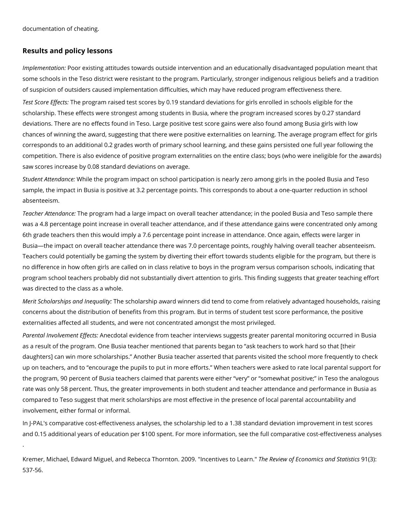documentation of cheating.

.

#### Results and policy lessons

Implementa Pioonn: existing attitudes towards outside intervention and an educationally disad some schools in the Teso district were resistant to the program. Particularly, stronger ind of suspicion of outsiders caused implementation difficulties, which may have reduced prog Test Score Ehite program raised test scores by 0.19 standard deviations for girls enrolled i scholarship. These effects were strongest among students in Busia, where the program in deviations. There are no effects found in Teso. Large positive test score gains were also chances of winning the award, suggesting that there were positive externalities on learning corresponds to an additional 0.2 grades worth of primary school learning, and these gains competition. There is also evidence of positive program externalities on the entire class; saw scores increase by 0.08 standard deviations on average.

Student Atten Whilm in eethe program impact on school participation is nearly zero among girls in sample, the impact in Busia is positive at 3.2 percentage points. This corresponds to abo absenteeism.

Teacher AttenTdhaen perogram had a large impact on overall teacher attendance; in the pooled was a 4.8 percentage point increase in overall teacher attendance, and if these attendanc 6th grade teachers then this would imply a 7.6 percentage point increase in attendance. On Busia the impact on overall teacher attendance there was 7.0 percentage points, roughly Teachers could potentially be gaming the system by diverting their effort towards student no difference in how often girls are called on in class relative to boys in the program ver program school teachers probably did not substantially divert attention to girls. This find was directed to the class as a whole.

Merit Scholarships and hen equalityship award winners did tend to come from relatively advantaged households, r concerns about the distribution of benefits from this program. But in terms of student test externalities affected all students, and were not concentrated amongst the most privileged. Parental Involveme Anne Ecforte betable vidence from teacher interviews suggests greater parental r as a result of the program. One Busia teacher mentioned that parents began to ask teach daughters] can win more scholarships. Another Busia teacher asserted that parents visite up on teachers, and to encourage the pupils to put in more efforts. When teachers were the program, 90 percent of Busia teachers claimed that parents were either very or som rate was only 58 percent. Thus, the greater improvements in both student and teacher att compared to Teso suggest that merit scholarships are most effective in the presence of Ic involvement, either formal or informal.

In J-PAL's comparative cost-effectiveness analyses, the scholarship led to a 1.38 standar and 0.15 additional years of education per \$100 spent. Frowl moro mepanáoliv meationsnt, sefefect thive enes

Kremer, Michael, Edward Miguel, and Rebecca Thornton. 7 h2e0 0R9e.view comit Evo exonomics satem 3d): Stat 537-56.